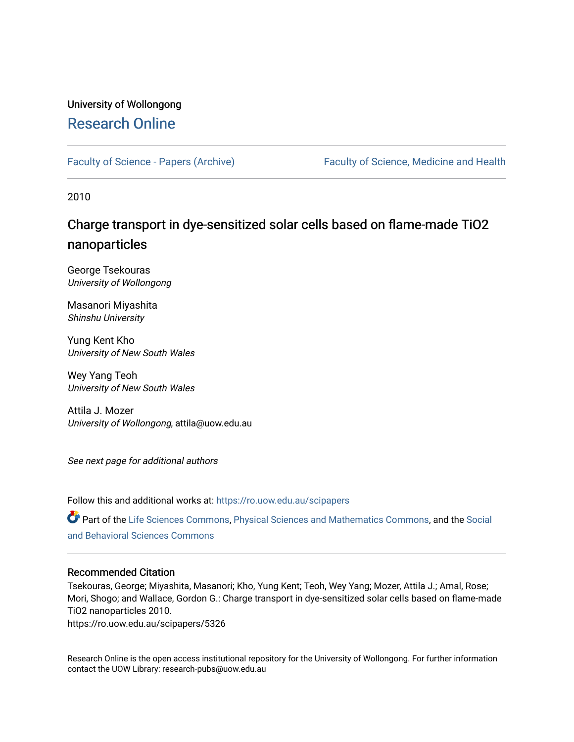# University of Wollongong [Research Online](https://ro.uow.edu.au/)

[Faculty of Science - Papers \(Archive\)](https://ro.uow.edu.au/scipapers) Faculty of Science, Medicine and Health

2010

# Charge transport in dye-sensitized solar cells based on flame-made TiO2 nanoparticles

George Tsekouras University of Wollongong

Masanori Miyashita Shinshu University

Yung Kent Kho University of New South Wales

Wey Yang Teoh University of New South Wales

Attila J. Mozer University of Wollongong, attila@uow.edu.au

See next page for additional authors

Follow this and additional works at: [https://ro.uow.edu.au/scipapers](https://ro.uow.edu.au/scipapers?utm_source=ro.uow.edu.au%2Fscipapers%2F5326&utm_medium=PDF&utm_campaign=PDFCoverPages)

Part of the [Life Sciences Commons,](http://network.bepress.com/hgg/discipline/1016?utm_source=ro.uow.edu.au%2Fscipapers%2F5326&utm_medium=PDF&utm_campaign=PDFCoverPages) [Physical Sciences and Mathematics Commons,](http://network.bepress.com/hgg/discipline/114?utm_source=ro.uow.edu.au%2Fscipapers%2F5326&utm_medium=PDF&utm_campaign=PDFCoverPages) and the [Social](http://network.bepress.com/hgg/discipline/316?utm_source=ro.uow.edu.au%2Fscipapers%2F5326&utm_medium=PDF&utm_campaign=PDFCoverPages)  [and Behavioral Sciences Commons](http://network.bepress.com/hgg/discipline/316?utm_source=ro.uow.edu.au%2Fscipapers%2F5326&utm_medium=PDF&utm_campaign=PDFCoverPages) 

### Recommended Citation

Tsekouras, George; Miyashita, Masanori; Kho, Yung Kent; Teoh, Wey Yang; Mozer, Attila J.; Amal, Rose; Mori, Shogo; and Wallace, Gordon G.: Charge transport in dye-sensitized solar cells based on flame-made TiO2 nanoparticles 2010.

https://ro.uow.edu.au/scipapers/5326

Research Online is the open access institutional repository for the University of Wollongong. For further information contact the UOW Library: research-pubs@uow.edu.au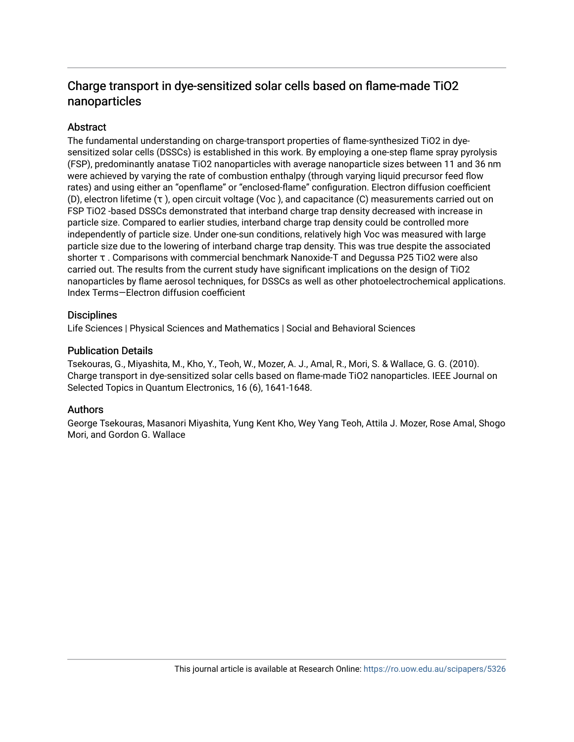# Charge transport in dye-sensitized solar cells based on flame-made TiO2 nanoparticles

# **Abstract**

The fundamental understanding on charge-transport properties of flame-synthesized TiO2 in dyesensitized solar cells (DSSCs) is established in this work. By employing a one-step flame spray pyrolysis (FSP), predominantly anatase TiO2 nanoparticles with average nanoparticle sizes between 11 and 36 nm were achieved by varying the rate of combustion enthalpy (through varying liquid precursor feed flow rates) and using either an "openflame" or "enclosed-flame" configuration. Electron diffusion coefficient (D), electron lifetime (τ ), open circuit voltage (Voc ), and capacitance (C) measurements carried out on FSP TiO2 -based DSSCs demonstrated that interband charge trap density decreased with increase in particle size. Compared to earlier studies, interband charge trap density could be controlled more independently of particle size. Under one-sun conditions, relatively high Voc was measured with large particle size due to the lowering of interband charge trap density. This was true despite the associated shorter τ . Comparisons with commercial benchmark Nanoxide-T and Degussa P25 TiO2 were also carried out. The results from the current study have significant implications on the design of TiO2 nanoparticles by flame aerosol techniques, for DSSCs as well as other photoelectrochemical applications. Index Terms—Electron diffusion coefficient

## **Disciplines**

Life Sciences | Physical Sciences and Mathematics | Social and Behavioral Sciences

## Publication Details

Tsekouras, G., Miyashita, M., Kho, Y., Teoh, W., Mozer, A. J., Amal, R., Mori, S. & Wallace, G. G. (2010). Charge transport in dye-sensitized solar cells based on flame-made TiO2 nanoparticles. IEEE Journal on Selected Topics in Quantum Electronics, 16 (6), 1641-1648.

## Authors

George Tsekouras, Masanori Miyashita, Yung Kent Kho, Wey Yang Teoh, Attila J. Mozer, Rose Amal, Shogo Mori, and Gordon G. Wallace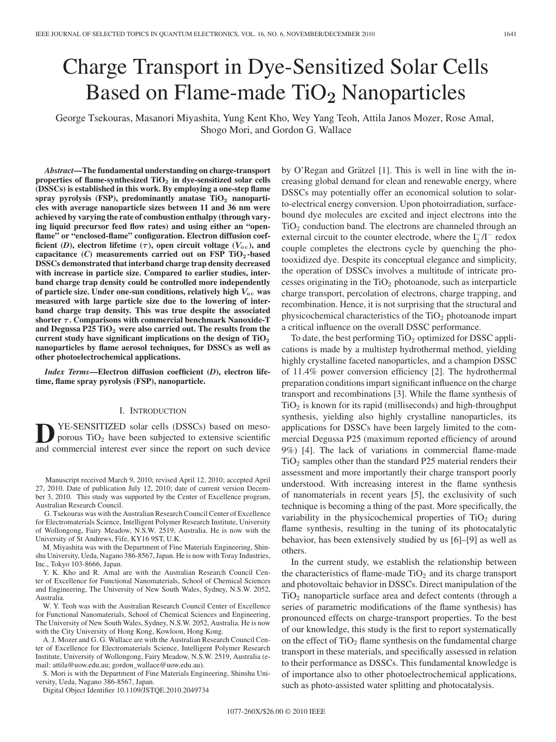# Charge Transport in Dye-Sensitized Solar Cells Based on Flame-made TiO<sub>2</sub> Nanoparticles

George Tsekouras, Masanori Miyashita, Yung Kent Kho, Wey Yang Teoh, Attila Janos Mozer, Rose Amal, Shogo Mori, and Gordon G. Wallace

*Abstract***—The fundamental understanding on charge-transport properties of flame-synthesized TiO<sup>2</sup> in dye-sensitized solar cells (DSSCs) is established in this work. By employing a one-step flame spray pyrolysis (FSP), predominantly anatase TiO<sup>2</sup> nanoparticles with average nanoparticle sizes between 11 and 36 nm were achieved by varying the rate of combustion enthalpy (through varying liquid precursor feed flow rates) and using either an "open**flame" or "enclosed-flame" configuration. Electron diffusion coef**ficient** (*D*), electron lifetime ( $\tau$ ), open circuit voltage ( $V_{\text{o c}}$ ), and **capacitance (***C***) measurements carried out on FSP TiO<sup>2</sup> -based DSSCs demonstrated that interband charge trap density decreased with increase in particle size. Compared to earlier studies, interband charge trap density could be controlled more independently** of particle size. Under one-sun conditions, relatively high  $V_{\text{o c}}$  was **measured with large particle size due to the lowering of interband charge trap density. This was true despite the associated shorter** *τ* **. Comparisons with commercial benchmark Nanoxide-T and Degussa P25 TiO<sup>2</sup> were also carried out. The results from the current study have significant implications on the design of TiO<sup>2</sup> nanoparticles by flame aerosol techniques, for DSSCs as well as other photoelectrochemical applications.**

*Index Terms***—Electron diffusion coefficient (***D***), electron lifetime, flame spray pyrolysis (FSP), nanoparticle.**

#### I. INTRODUCTION

**D**YE-SENSITIZED solar cells (DSSCs) based on meso-<br>porous TiO<sub>2</sub> have been subjected to extensive scientific and commercial interest ever since the report on such device

Manuscript received March 9, 2010; revised April 12, 2010; accepted April 27, 2010. Date of publication July 12, 2010; date of current version December 3, 2010. This study was supported by the Center of Excellence program, Australian Research Council.

G. Tsekouras was with the Australian Research Council Center of Excellence for Electromaterials Science, Intelligent Polymer Research Institute, University of Wollongong, Fairy Meadow, N.S.W. 2519, Australia. He is now with the University of St Andrews, Fife, KY16 9ST, U.K.

M. Miyashita was with the Department of Fine Materials Engineering, Shinshu University, Ueda, Nagano 386-8567, Japan. He is now with Toray Industries, Inc., Tokyo 103-8666, Japan.

Y. K. Kho and R. Amal are with the Australian Research Council Center of Excellence for Functional Nanomaterials, School of Chemical Sciences and Engineering, The University of New South Wales, Sydney, N.S.W. 2052, Australia.

W. Y. Teoh was with the Australian Research Council Center of Excellence for Functional Nanomaterials, School of Chemical Sciences and Engineering, The University of New South Wales, Sydney, N.S.W. 2052, Australia. He is now with the City University of Hong Kong, Kowloon, Hong Kong.

A. J. Mozer and G. G. Wallace are with the Australian Research Council Center of Excellence for Electromaterials Science, Intelligent Polymer Research Institute, University of Wollongong, Fairy Meadow, N.S.W. 2519, Australia (email: attila@uow.edu.au; gordon\_wallace@uow.edu.au).

S. Mori is with the Department of Fine Materials Engineering, Shinshu University, Ueda, Nagano 386-8567, Japan.

Digital Object Identifier 10.1109/JSTQE.2010.2049734

by O'Regan and Grätzel [1]. This is well in line with the increasing global demand for clean and renewable energy, where DSSCs may potentially offer an economical solution to solarto-electrical energy conversion. Upon photoirradiation, surfacebound dye molecules are excited and inject electrons into the  $TiO<sub>2</sub>$  conduction band. The electrons are channeled through an external circuit to the counter electrode, where the  $I_3^-/I^-$  redox couple completes the electrons cycle by quenching the photooxidized dye. Despite its conceptual elegance and simplicity, the operation of DSSCs involves a multitude of intricate processes originating in the  $TiO<sub>2</sub>$  photoanode, such as interparticle charge transport, percolation of electrons, charge trapping, and recombination. Hence, it is not surprising that the structural and physicochemical characteristics of the  $TiO<sub>2</sub>$  photoanode impart a critical influence on the overall DSSC performance.

To date, the best performing  $TiO<sub>2</sub>$  optimized for DSSC applications is made by a multistep hydrothermal method, yielding highly crystalline faceted nanoparticles, and a champion DSSC of 11.4% power conversion efficiency [2]. The hydrothermal preparation conditions impart significant influence on the charge transport and recombinations [3]. While the flame synthesis of  $TiO<sub>2</sub>$  is known for its rapid (milliseconds) and high-throughput synthesis, yielding also highly crystalline nanoparticles, its applications for DSSCs have been largely limited to the commercial Degussa P25 (maximum reported efficiency of around 9%) [4]. The lack of variations in commercial flame-made  $TiO<sub>2</sub>$  samples other than the standard P25 material renders their assessment and more importantly their charge transport poorly understood. With increasing interest in the flame synthesis of nanomaterials in recent years [5], the exclusivity of such technique is becoming a thing of the past. More specifically, the variability in the physicochemical properties of  $TiO<sub>2</sub>$  during flame synthesis, resulting in the tuning of its photocatalytic behavior, has been extensively studied by us [6]–[9] as well as others.

In the current study, we establish the relationship between the characteristics of flame-made  $TiO<sub>2</sub>$  and its charge transport and photovoltaic behavior in DSSCs. Direct manipulation of the  $TiO<sub>2</sub>$  nanoparticle surface area and defect contents (through a series of parametric modifications of the flame synthesis) has pronounced effects on charge-transport properties. To the best of our knowledge, this study is the first to report systematically on the effect of  $TiO<sub>2</sub>$  flame synthesis on the fundamental charge transport in these materials, and specifically assessed in relation to their performance as DSSCs. This fundamental knowledge is of importance also to other photoelectrochemical applications, such as photo-assisted water splitting and photocatalysis.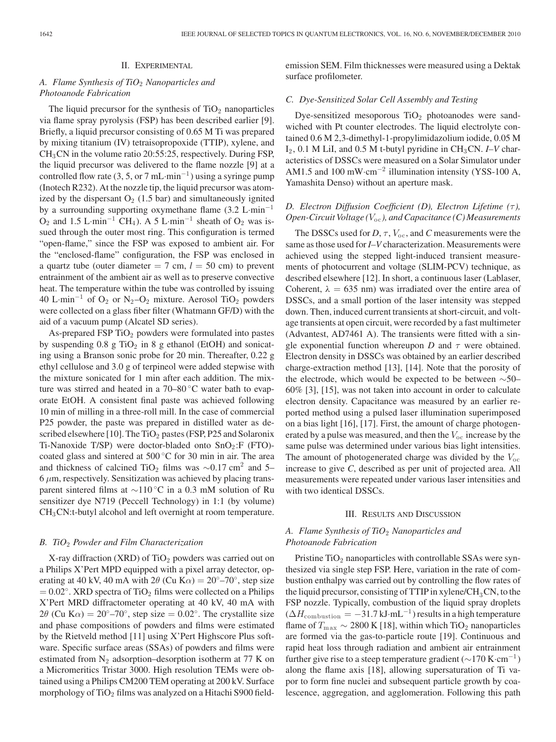#### II. EXPERIMENTAL

#### *A. Flame Synthesis of TiO*<sup>2</sup> *Nanoparticles and Photoanode Fabrication*

The liquid precursor for the synthesis of  $TiO<sub>2</sub>$  nanoparticles via flame spray pyrolysis (FSP) has been described earlier [9]. Briefly, a liquid precursor consisting of 0.65 M Ti was prepared by mixing titanium (IV) tetraisopropoxide (TTIP), xylene, and CH3CN in the volume ratio 20:55:25, respectively. During FSP, the liquid precursor was delivered to the flame nozzle [9] at a controlled flow rate (3, 5, or 7 mL·min<sup>-1</sup>) using a syringe pump (Inotech R232). At the nozzle tip, the liquid precursor was atomized by the dispersant  $O_2$  (1.5 bar) and simultaneously ignited by a surrounding supporting oxymethane flame (3.2 L·min−<sup>1</sup>  $O_2$  and 1.5 L·min<sup>-1</sup> CH<sub>4</sub>). A 5 L·min<sup>-1</sup> sheath of  $O_2$  was issued through the outer most ring. This configuration is termed "open-flame," since the FSP was exposed to ambient air. For the "enclosed-flame" configuration, the FSP was enclosed in a quartz tube (outer diameter  $= 7$  cm,  $l = 50$  cm) to prevent entrainment of the ambient air as well as to preserve convective heat. The temperature within the tube was controlled by issuing 40 L·min−<sup>1</sup> of O<sup>2</sup> or N<sup>2</sup> –O<sup>2</sup> mixture. Aerosol TiO<sup>2</sup> powders were collected on a glass fiber filter (Whatmann GF/D) with the aid of a vacuum pump (Alcatel SD series).

As-prepared FSP  $TiO<sub>2</sub>$  powders were formulated into pastes by suspending  $0.8$  g TiO<sub>2</sub> in 8 g ethanol (EtOH) and sonicating using a Branson sonic probe for 20 min. Thereafter, 0.22 g ethyl cellulose and 3.0 g of terpineol were added stepwise with the mixture sonicated for 1 min after each addition. The mixture was stirred and heated in a 70–80 ◦C water bath to evaporate EtOH. A consistent final paste was achieved following 10 min of milling in a three-roll mill. In the case of commercial P25 powder, the paste was prepared in distilled water as described elsewhere [10]. The TiO<sub>2</sub> pastes (FSP, P25 and Solaronix Ti-Nanoxide T/SP) were doctor-bladed onto  $SnO<sub>2</sub>:F$  (FTO)coated glass and sintered at 500 ◦C for 30 min in air. The area and thickness of calcined TiO<sub>2</sub> films was  $\sim$ 0.17 cm<sup>2</sup> and 5–  $6 \mu$ m, respectively. Sensitization was achieved by placing transparent sintered films at ∼110 ◦C in a 0.3 mM solution of Ru sensitizer dye N719 (Peccell Technology) in 1:1 (by volume) CH3CN:t-butyl alcohol and left overnight at room temperature.

#### *B. TiO*<sup>2</sup> *Powder and Film Characterization*

X-ray diffraction (XRD) of  $TiO<sub>2</sub>$  powders was carried out on a Philips X'Pert MPD equipped with a pixel array detector, operating at 40 kV, 40 mA with  $2\theta$  (Cu K $\alpha$ ) = 20<sup>°</sup>–70<sup>°</sup>, step size  $= 0.02°$ . XRD spectra of TiO<sub>2</sub> films were collected on a Philips X'Pert MRD diffractometer operating at 40 kV, 40 mA with  $2\theta$  (Cu K $\alpha$ ) = 20°–70°, step size = 0.02°. The crystallite size and phase compositions of powders and films were estimated by the Rietveld method [11] using X'Pert Highscore Plus software. Specific surface areas (SSAs) of powders and films were estimated from  $N_2$  adsorption–desorption isotherm at 77 K on a Micromeritics Tristar 3000. High resolution TEMs were obtained using a Philips CM200 TEM operating at 200 kV. Surface morphology of  $TiO<sub>2</sub>$  films was analyzed on a Hitachi S900 fieldemission SEM. Film thicknesses were measured using a Dektak surface profilometer.

#### *C. Dye-Sensitized Solar Cell Assembly and Testing*

Dye-sensitized mesoporous  $TiO<sub>2</sub>$  photoanodes were sandwiched with Pt counter electrodes. The liquid electrolyte contained 0.6 M 2,3-dimethyl-1-propylimidazolium iodide, 0.05 M I<sub>2</sub>, 0.1 M LiI, and 0.5 M t-butyl pyridine in CH<sub>3</sub>CN. *I–V* characteristics of DSSCs were measured on a Solar Simulator under AM1.5 and 100 mW·cm−<sup>2</sup> illumination intensity (YSS-100 A, Yamashita Denso) without an aperture mask.

#### *D. Electron Diffusion Coefficient (D), Electron Lifetime (τ), Open-Circuit Voltage* ( $V_{oc}$ ), and Capacitance (C) Measurements

The DSSCs used for  $D, \tau, V_{\text{oc}}$ , and *C* measurements were the same as those used for *I–V* characterization. Measurements were achieved using the stepped light-induced transient measurements of photocurrent and voltage (SLIM-PCV) technique, as described elsewhere [12]. In short, a continuous laser (Lablaser, Coherent,  $\lambda = 635$  nm) was irradiated over the entire area of DSSCs, and a small portion of the laser intensity was stepped down. Then, induced current transients at short-circuit, and voltage transients at open circuit, were recorded by a fast multimeter (Advantest, AD7461 A). The transients were fitted with a single exponential function whereupon *D* and  $\tau$  were obtained. Electron density in DSSCs was obtained by an earlier described charge-extraction method [13], [14]. Note that the porosity of the electrode, which would be expected to be between ∼50– 60% [3], [15], was not taken into account in order to calculate electron density. Capacitance was measured by an earlier reported method using a pulsed laser illumination superimposed on a bias light [16], [17]. First, the amount of charge photogenerated by a pulse was measured, and then the  $V_{\text{oc}}$  increase by the same pulse was determined under various bias light intensities. The amount of photogenerated charge was divided by the  $V_{\text{oc}}$ increase to give *C*, described as per unit of projected area. All measurements were repeated under various laser intensities and with two identical DSSCs.

#### III. RESULTS AND DISCUSSION

#### *A. Flame Synthesis of TiO*<sup>2</sup> *Nanoparticles and Photoanode Fabrication*

Pristine  $TiO<sub>2</sub>$  nanoparticles with controllable SSAs were synthesized via single step FSP. Here, variation in the rate of combustion enthalpy was carried out by controlling the flow rates of the liquid precursor, consisting of TTIP in xylene/ $CH<sub>3</sub>CN$ , to the FSP nozzle. Typically, combustion of the liquid spray droplets  $(\Delta H_{\text{combination}} = -31.7 \,\text{kJ} \cdot \text{mL}^{-1})$  results in a high temperature flame of  $T_{\text{max}} \sim 2800 \text{ K}$  [18], within which TiO<sub>2</sub> nanoparticles are formed via the gas-to-particle route [19]. Continuous and rapid heat loss through radiation and ambient air entrainment further give rise to a steep temperature gradient ( $\sim$ 170 K·cm<sup>-1</sup>) along the flame axis [18], allowing supersaturation of Ti vapor to form fine nuclei and subsequent particle growth by coalescence, aggregation, and agglomeration. Following this path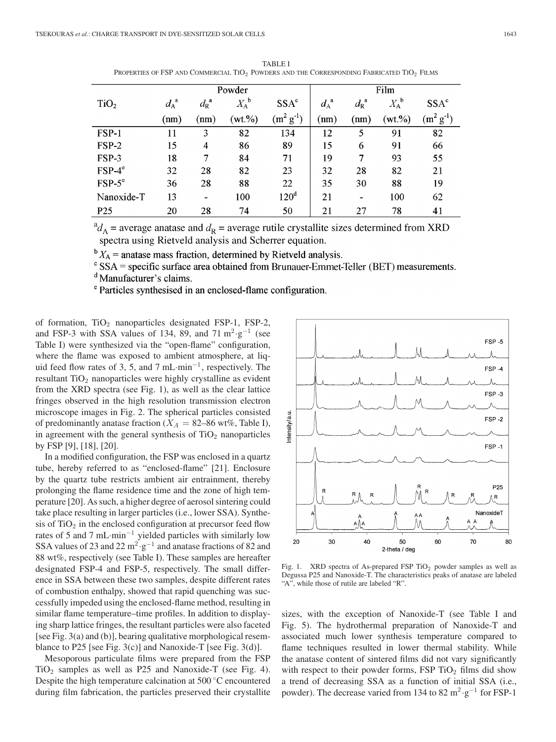|                  | Powder      |                     |             |                                              | Film          |                                 |                    |                  |
|------------------|-------------|---------------------|-------------|----------------------------------------------|---------------|---------------------------------|--------------------|------------------|
| TiO <sub>2</sub> | $d_A^{\ a}$ | $d_{\rm R}^{\rm a}$ | $X_A{}^b$   | SSA <sup>c</sup>                             | $d_A^{\;\;a}$ | $d_{\mathrm{R}}^{~~\mathrm{a}}$ | $X_A^{\mathbf{b}}$ | SSA <sup>c</sup> |
|                  | (nm)        | (nm)                | $(wt. \% )$ | (m <sup>2</sup> )<br>$\cdot$ g <sup>-1</sup> | (mm)          | (nm)                            | (wt.%)             | $(m^2 g^{-1})$   |
| FSP-1            | 11          | 3                   | 82          | 134                                          | 12            | 5                               | 91                 | 82               |
| $FSP-2$          | 15          | $\overline{4}$      | 86          | 89                                           | 15            | 6                               | 91                 | 66               |
| FSP-3            | 18          | 7                   | 84          | 71                                           | 19            | 7                               | 93                 | 55               |
| $FSP-4^\circ$    | 32          | 28                  | 82          | 23                                           | 32            | 28                              | 82                 | 21               |
| $FSP-5^\circ$    | 36          | 28                  | 88          | 22                                           | 35            | 30                              | 88                 | 19               |
| Nanoxide-T       | 13          | $\blacksquare$      | 100         | 120 <sup>d</sup>                             | 21            | $\overline{\phantom{0}}$        | 100                | 62               |
| P <sub>25</sub>  | 20          | 28                  | 74          | 50                                           | 21            | 27                              | 78                 | 41               |

TABLE I PROPERTIES OF FSP AND COMMERCIAL TIO<sup>2</sup> POWDERS AND THE CORRESPONDING FABRICATED TIO<sup>2</sup> FILMS

 ${}^{\rm a}d_A$  = average anatase and  $d_R$  = average rutile crystallite sizes determined from XRD spectra using Rietveld analysis and Scherrer equation.

 ${}^{\rm b}X_{\rm A}$  = anatase mass fraction, determined by Rietveld analysis.

 $\degree$  SSA = specific surface area obtained from Brunauer-Emmet-Teller (BET) measurements.

<sup>d</sup> Manufacturer's claims.

<sup>e</sup> Particles synthesised in an enclosed-flame configuration.

of formation,  $TiO<sub>2</sub>$  nanoparticles designated FSP-1, FSP-2, and FSP-3 with SSA values of 134, 89, and  $71 \text{ m}^2 \text{·} \text{g}^{-1}$  (see Table I) were synthesized via the "open-flame" configuration, where the flame was exposed to ambient atmosphere, at liquid feed flow rates of 3, 5, and 7 mL·min<sup>-1</sup>, respectively. The resultant  $TiO<sub>2</sub>$  nanoparticles were highly crystalline as evident from the XRD spectra (see Fig. 1), as well as the clear lattice fringes observed in the high resolution transmission electron microscope images in Fig. 2. The spherical particles consisted of predominantly anatase fraction ( $X_A = 82-86$  wt%, Table I), in agreement with the general synthesis of  $TiO<sub>2</sub>$  nanoparticles by FSP [9], [18], [20].

In a modified configuration, the FSP was enclosed in a quartz tube, hereby referred to as "enclosed-flame" [21]. Enclosure by the quartz tube restricts ambient air entrainment, thereby prolonging the flame residence time and the zone of high temperature [20]. As such, a higher degree of aerosol sintering could take place resulting in larger particles (i.e., lower SSA). Synthesis of  $TiO<sub>2</sub>$  in the enclosed configuration at precursor feed flow rates of 5 and 7 mL·min−<sup>1</sup> yielded particles with similarly low SSA values of 23 and 22 m<sup>2</sup> ·g<sup>-1</sup> and anatase fractions of 82 and 88 wt%, respectively (see Table I). These samples are hereafter designated FSP-4 and FSP-5, respectively. The small difference in SSA between these two samples, despite different rates of combustion enthalpy, showed that rapid quenching was successfully impeded using the enclosed-flame method, resulting in similar flame temperature–time profiles. In addition to displaying sharp lattice fringes, the resultant particles were also faceted [see Fig. 3(a) and (b)], bearing qualitative morphological resemblance to P25 [see Fig. 3(c)] and Nanoxide-T [see Fig. 3(d)].

Mesoporous particulate films were prepared from the FSP  $TiO<sub>2</sub>$  samples as well as P25 and Nanoxide-T (see Fig. 4). Despite the high temperature calcination at 500 ◦C encountered during film fabrication, the particles preserved their crystallite



Fig. 1. XRD spectra of As-prepared FSP  $TiO<sub>2</sub>$  powder samples as well as Degussa P25 and Nanoxide-T. The characteristics peaks of anatase are labeled "A", while those of rutile are labeled "R".

sizes, with the exception of Nanoxide-T (see Table I and Fig. 5). The hydrothermal preparation of Nanoxide-T and associated much lower synthesis temperature compared to flame techniques resulted in lower thermal stability. While the anatase content of sintered films did not vary significantly with respect to their powder forms,  $FSP TiO<sub>2</sub>$  films did show a trend of decreasing SSA as a function of initial SSA (i.e., powder). The decrease varied from 134 to 82 m<sup>2</sup> ·g<sup>-1</sup> for FSP-1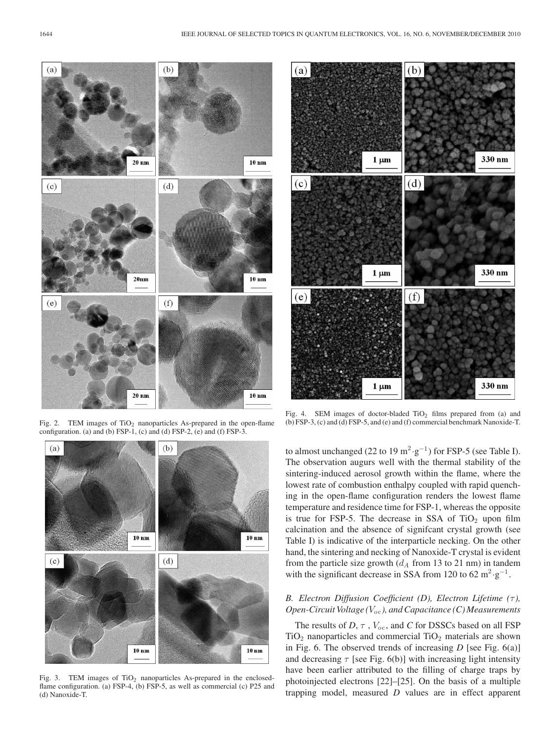

Fig. 2. TEM images of  $TiO<sub>2</sub>$  nanoparticles As-prepared in the open-flame configuration. (a) and (b) FSP-1, (c) and (d) FSP-2, (e) and (f) FSP-3.



Fig. 3. TEM images of  $TiO<sub>2</sub>$  nanoparticles As-prepared in the enclosedflame configuration. (a) FSP-4, (b) FSP-5, as well as commercial (c) P25 and (d) Nanoxide-T.



Fig. 4. SEM images of doctor-bladed  $TiO<sub>2</sub>$  films prepared from (a) and (b) FSP-3, (c) and (d) FSP-5, and (e) and (f) commercial benchmark Nanoxide-T.

to almost unchanged (22 to 19 m<sup>2</sup> ·g<sup>-1</sup>) for FSP-5 (see Table I). The observation augurs well with the thermal stability of the sintering-induced aerosol growth within the flame, where the lowest rate of combustion enthalpy coupled with rapid quenching in the open-flame configuration renders the lowest flame temperature and residence time for FSP-1, whereas the opposite is true for FSP-5. The decrease in SSA of  $TiO<sub>2</sub>$  upon film calcination and the absence of signifcant crystal growth (see Table I) is indicative of the interparticle necking. On the other hand, the sintering and necking of Nanoxide-T crystal is evident from the particle size growth  $(d_A \text{ from } 13 \text{ to } 21 \text{ nm})$  in tandem with the significant decrease in SSA from 120 to 62  $m^2 \cdot g^{-1}$ .

#### *B. Electron Diffusion Coefficient (D), Electron Lifetime (τ), Open-Circuit Voltage* ( $V_{oc}$ ), and Capacitance (C) Measurements

The results of *D*, *τ*, *V*<sub>oc</sub>, and *C* for DSSCs based on all FSP  $TiO<sub>2</sub>$  nanoparticles and commercial  $TiO<sub>2</sub>$  materials are shown in Fig. 6. The observed trends of increasing *D* [see Fig. 6(a)] and decreasing  $\tau$  [see Fig. 6(b)] with increasing light intensity have been earlier attributed to the filling of charge traps by photoinjected electrons [22]–[25]. On the basis of a multiple trapping model, measured *D* values are in effect apparent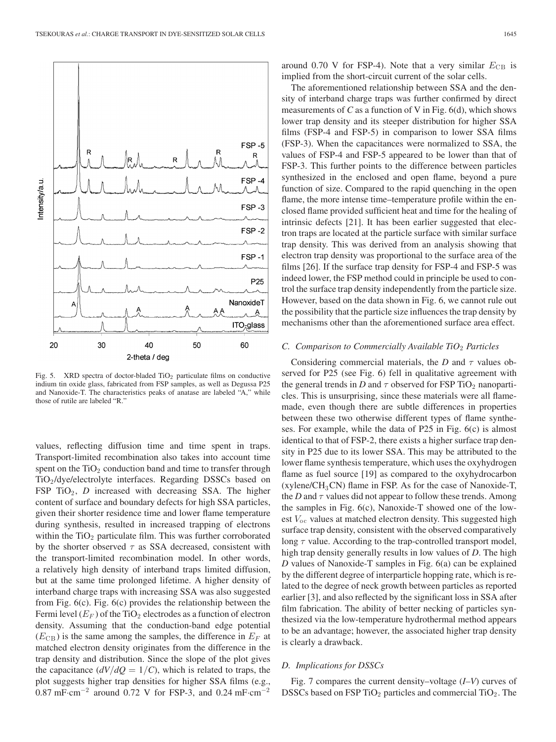

Fig. 5. XRD spectra of doctor-bladed  $TiO<sub>2</sub>$  particulate films on conductive indium tin oxide glass, fabricated from FSP samples, as well as Degussa P25 and Nanoxide-T. The characteristics peaks of anatase are labeled "A," while those of rutile are labeled "R."

values, reflecting diffusion time and time spent in traps. Transport-limited recombination also takes into account time spent on the  $TiO<sub>2</sub>$  conduction band and time to transfer through TiO<sup>2</sup> /dye/electrolyte interfaces. Regarding DSSCs based on FSP  $TiO<sub>2</sub>$ , *D* increased with decreasing SSA. The higher content of surface and boundary defects for high SSA particles, given their shorter residence time and lower flame temperature during synthesis, resulted in increased trapping of electrons within the  $TiO<sub>2</sub>$  particulate film. This was further corroborated by the shorter observed  $\tau$  as SSA decreased, consistent with the transport-limited recombination model. In other words, a relatively high density of interband traps limited diffusion, but at the same time prolonged lifetime. A higher density of interband charge traps with increasing SSA was also suggested from Fig. 6(c). Fig. 6(c) provides the relationship between the Fermi level  $(E_F)$  of the TiO<sub>2</sub> electrodes as a function of electron density. Assuming that the conduction-band edge potential  $(E_{CB})$  is the same among the samples, the difference in  $E_F$  at matched electron density originates from the difference in the trap density and distribution. Since the slope of the plot gives the capacitance  $\left(\frac{dV}{dQ} = 1/C\right)$ , which is related to traps, the plot suggests higher trap densities for higher SSA films (e.g., 0.87 mF·cm<sup>-2</sup> around 0.72 V for FSP-3, and 0.24 mF·cm<sup>-2</sup>

around 0.70 V for FSP-4). Note that a very similar  $E_{CB}$  is implied from the short-circuit current of the solar cells.

The aforementioned relationship between SSA and the density of interband charge traps was further confirmed by direct measurements of  $C$  as a function of  $V$  in Fig. 6(d), which shows lower trap density and its steeper distribution for higher SSA films (FSP-4 and FSP-5) in comparison to lower SSA films (FSP-3). When the capacitances were normalized to SSA, the values of FSP-4 and FSP-5 appeared to be lower than that of FSP-3. This further points to the difference between particles synthesized in the enclosed and open flame, beyond a pure function of size. Compared to the rapid quenching in the open flame, the more intense time–temperature profile within the enclosed flame provided sufficient heat and time for the healing of intrinsic defects [21]. It has been earlier suggested that electron traps are located at the particle surface with similar surface trap density. This was derived from an analysis showing that electron trap density was proportional to the surface area of the films [26]. If the surface trap density for FSP-4 and FSP-5 was indeed lower, the FSP method could in principle be used to control the surface trap density independently from the particle size. However, based on the data shown in Fig. 6, we cannot rule out the possibility that the particle size influences the trap density by mechanisms other than the aforementioned surface area effect.

#### *C. Comparison to Commercially Available TiO*<sup>2</sup> *Particles*

Considering commercial materials, the *D* and  $\tau$  values observed for P25 (see Fig. 6) fell in qualitative agreement with the general trends in *D* and  $\tau$  observed for FSP TiO<sub>2</sub> nanoparticles. This is unsurprising, since these materials were all flamemade, even though there are subtle differences in properties between these two otherwise different types of flame syntheses. For example, while the data of P25 in Fig. 6(c) is almost identical to that of FSP-2, there exists a higher surface trap density in P25 due to its lower SSA. This may be attributed to the lower flame synthesis temperature, which uses the oxyhydrogen flame as fuel source [19] as compared to the oxyhydrocarbon (xylene/ $CH<sub>3</sub>CN$ ) flame in FSP. As for the case of Nanoxide-T, the *D* and  $\tau$  values did not appear to follow these trends. Among the samples in Fig. 6(c), Nanoxide-T showed one of the lowest  $V_{oc}$  values at matched electron density. This suggested high surface trap density, consistent with the observed comparatively long  $\tau$  value. According to the trap-controlled transport model, high trap density generally results in low values of *D*. The high *D* values of Nanoxide-T samples in Fig. 6(a) can be explained by the different degree of interparticle hopping rate, which is related to the degree of neck growth between particles as reported earlier [3], and also reflected by the significant loss in SSA after film fabrication. The ability of better necking of particles synthesized via the low-temperature hydrothermal method appears to be an advantage; however, the associated higher trap density is clearly a drawback.

#### *D. Implications for DSSCs*

Fig. 7 compares the current density–voltage (*I–V*) curves of DSSCs based on FSP  $TiO<sub>2</sub>$  particles and commercial  $TiO<sub>2</sub>$ . The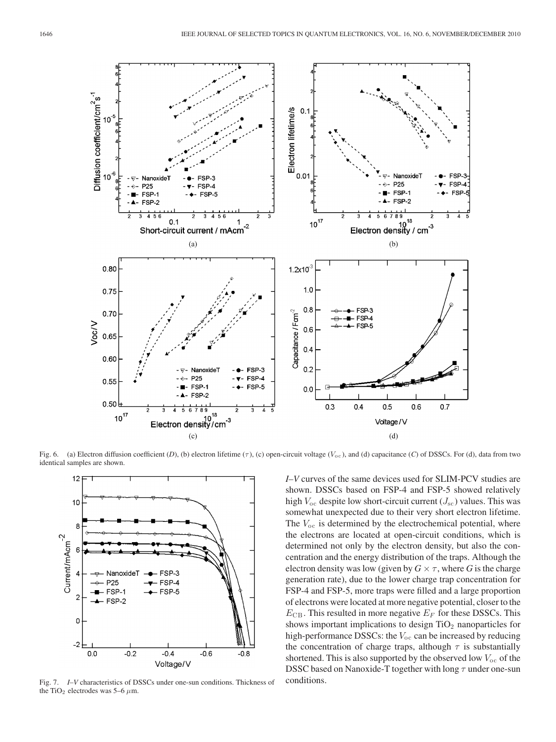

Fig. 6. (a) Electron diffusion coefficient (D), (b) electron lifetime  $(\tau)$ , (c) open-circuit voltage ( $V_{\text{oc}}$ ), and (d) capacitance (C) of DSSCs. For (d), data from two identical samples are shown.



Fig. 7. *I–V* characteristics of DSSCs under one-sun conditions. Thickness of the TiO<sub>2</sub> electrodes was 5–6  $\mu$ m.

*I–V* curves of the same devices used for SLIM-PCV studies are shown. DSSCs based on FSP-4 and FSP-5 showed relatively high  $V_{\text{oc}}$  despite low short-circuit current ( $J_{\text{sc}}$ ) values. This was somewhat unexpected due to their very short electron lifetime. The  $V_{\text{oc}}$  is determined by the electrochemical potential, where the electrons are located at open-circuit conditions, which is determined not only by the electron density, but also the concentration and the energy distribution of the traps. Although the electron density was low (given by  $G \times \tau$ , where G is the charge generation rate), due to the lower charge trap concentration for FSP-4 and FSP-5, more traps were filled and a large proportion of electrons were located at more negative potential, closer to the  $E_{\text{CB}}$ . This resulted in more negative  $E_F$  for these DSSCs. This shows important implications to design  $TiO<sub>2</sub>$  nanoparticles for high-performance DSSCs: the  $V_{\text{oc}}$  can be increased by reducing the concentration of charge traps, although  $\tau$  is substantially shortened. This is also supported by the observed low  $V_{\text{oc}}$  of the DSSC based on Nanoxide-T together with long  $\tau$  under one-sun conditions.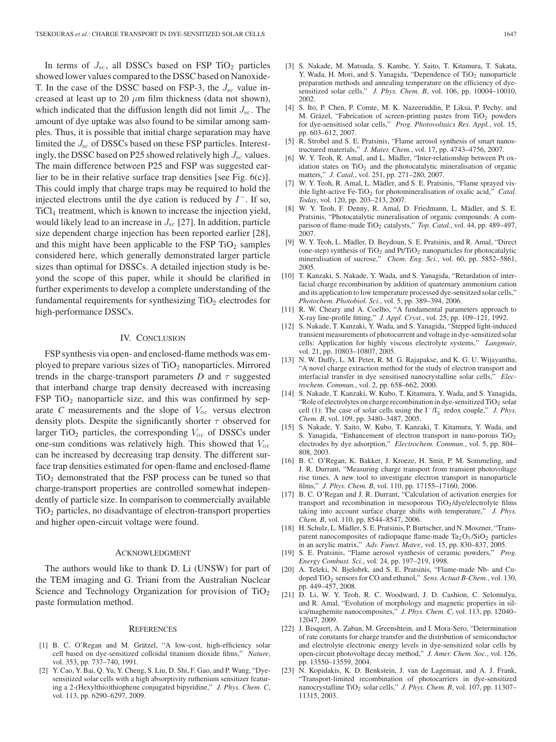In terms of  $J_{\rm sc}$ , all DSSCs based on FSP TiO<sub>2</sub> particles showed lower values compared to the DSSC based on Nanoxide-T. In the case of the DSSC based on FSP-3, the  $J_{\rm sc}$  value increased at least up to 20  $\mu$ m film thickness (data not shown), which indicated that the diffusion length did not limit  $J_{\rm sc}$ . The amount of dye uptake was also found to be similar among samples. Thus, it is possible that initial charge separation may have limited the  $J_{\rm sc}$  of DSSCs based on these FSP particles. Interestingly, the DSSC based on P25 showed relatively high  $J_{\rm sc}$  values. The main difference between P25 and FSP was suggested earlier to be in their relative surface trap densities [see Fig. 6(c)]. This could imply that charge traps may be required to hold the injected electrons until the dye cation is reduced by  $I^-$ . If so, TiCl<sup>4</sup> treatment, which is known to increase the injection yield, would likely lead to an increase in  $J_{\rm sc}$  [27]. In addition, particle size dependent charge injection has been reported earlier [28], and this might have been applicable to the FSP  $TiO<sub>2</sub>$  samples considered here, which generally demonstrated larger particle sizes than optimal for DSSCs. A detailed injection study is beyond the scope of this paper, while it should be clarified in further experiments to develop a complete understanding of the fundamental requirements for synthesizing  $TiO<sub>2</sub>$  electrodes for high-performance DSSCs.

#### IV. CONCLUSION

FSP synthesis via open- and enclosed-flame methods was employed to prepare various sizes of  $TiO<sub>2</sub>$  nanoparticles. Mirrored trends in the charge-transport parameters  $D$  and  $\tau$  suggested that interband charge trap density decreased with increasing FSP  $TiO<sub>2</sub>$  nanoparticle size, and this was confirmed by separate *C* measurements and the slope of  $V_{\text{oc}}$  versus electron density plots. Despite the significantly shorter  $\tau$  observed for larger TiO<sub>2</sub> particles, the corresponding  $V_{\text{oc}}$  of DSSCs under one-sun conditions was relatively high. This showed that  $V_{\text{oc}}$ can be increased by decreasing trap density. The different surface trap densities estimated for open-flame and enclosed-flame  $TiO<sub>2</sub>$  demonstrated that the FSP process can be tuned so that charge-transport properties are controlled somewhat independently of particle size. In comparison to commercially available  $TiO<sub>2</sub>$  particles, no disadvantage of electron-transport properties and higher open-circuit voltage were found.

#### ACKNOWLEDGMENT

The authors would like to thank D. Li (UNSW) for part of the TEM imaging and G. Triani from the Australian Nuclear Science and Technology Organization for provision of TiO<sub>2</sub> paste formulation method.

#### **REFERENCES**

- [1] B. C. O'Regan and M. Grätzel, "A low-cost, high-efficiency solar cell based on dye-sensitized colloidal titanium dioxide films," *Nature*, vol. 353, pp. 737–740, 1991.
- [2] Y. Cao, Y. Bai, Q. Yu, Y. Cheng, S. Liu, D. Shi, F. Gao, and P. Wang, "Dyesensitized solar cells with a high absorptivity ruthenium sensitizer featuring a 2-(Hexylthio)thiophene conjugated bipyridine," *J. Phys. Chem. C*, vol. 113, pp. 6290–6297, 2009.
- [3] S. Nakade, M. Matsuda, S. Kambe, Y. Saito, T. Kitamura, T. Sakata, Y. Wada, H. Mori, and S. Yanagida, "Dependence of  $TiO<sub>2</sub>$  nanoparticle preparation methods and annealing temperature on the efficiency of dyesensitized solar cells," *J. Phys. Chem. B*, vol. 106, pp. 10004–10010, 2002.
- [4] S. Ito, P. Chen, P. Comte, M. K. Nazeeruddin, P. Liksa, P. Pechy, and M. Gräzel, "Fabrication of screen-printing pastes from  $TiO<sub>2</sub>$  powders for dye-sensitised solar cells," *Prog. Photovoltaics Res. Appl.*, vol. 15, pp. 603–612, 2007.
- [5] R. Strobel and S. E. Pratsinis, "Flame aerosol synthesis of smart nanostructured materials," *J. Mater. Chem.*, vol. 17, pp. 4743–4756, 2007.
- [6] W. Y. Teoh, R. Amal, and L. Mädler, "Inter-relationship between Pt oxidation states on  $TiO<sub>2</sub>$  and the photocatalytic mineralisation of organic matters," *J. Catal.*, vol. 251, pp. 271–280, 2007.
- [7] W. Y. Teoh, R. Amal, L. Mädler, and S. E. Pratsinis, "Flame sprayed visible light-active Fe-TiO<sub>2</sub> for photomineralisation of oxalic acid," *Catal. Today*, vol. 120, pp. 203–213, 2007.
- [8] W. Y. Teoh, F. Denny, R. Amal, D. Friedmann, L. Mädler, and S. E. Pratsinis, "Photocatalytic mineralisation of organic compounds: A comparison of flame-made TiO<sub>2</sub> catalysts," *Top. Catal.*, vol. 44, pp. 489–497, 2007.
- [9] W. Y. Teoh, L. Mädler, D. Beydoun, S. E. Pratsinis, and R. Amal, "Direct (one-step) synthesis of  $TiO<sub>2</sub>$  and Pt/TiO<sub>2</sub> nanoparticles for photocatalytic mineralisation of sucrose," *Chem. Eng. Sci.*, vol. 60, pp. 5852–5861, 2005.
- [10] T. Kanzaki, S. Nakade, Y. Wada, and S. Yanagida, "Retardation of interfacial charge recombination by addition of quaternary ammonium cation and its application to low temperature processed dye-sensitzed solar cells," *Photochem. Photobiol. Sci.*, vol. 5, pp. 389–394, 2006.
- [11] R. W. Cheary and A. Coelho, "A fundamental parameters approach to X-ray line-profile fitting," *J. Appl. Cryst.*, vol. 25, pp. 109–121, 1992.
- [12] S. Nakade, T. Kanzaki, Y. Wada, and S. Yanagida, "Stepped light-induced transient measurements of photocurrent and voltage in dye-sensitized solar cells: Application for highly viscous electrolyte systems," *Langmuir*, vol. 21, pp. 10803–10807, 2005.
- [13] N. W. Duffy, L. M. Peter, R. M. G. Rajapakse, and K. G. U. Wijayantha, "A novel charge extraction method for the study of electron transport and interfacial transfer in dye sensitised nanocrystalline solar cells," *Electrochem. Commun.*, vol. 2, pp. 658–662, 2000.
- [14] S. Nakade, T. Kanzaki, W. Kubo, T. Kitamura, Y. Wada, and S. Yanagida, "Role of electrolytes on charge recombination in dye-sensitized  $TiO<sub>2</sub>$  solar cell (1): The case of solar cells using the  $I^{-}/I_{3}^{-}$  redox couple," *J. Phys. Chem. B*, vol. 109, pp. 3480–3487, 2005.
- [15] S. Nakade, Y. Saito, W. Kubo, T. Kanzaki, T. Kitamura, Y. Wada, and S. Yanagida, "Enhancement of electron transport in nano-porous  $TiO<sub>2</sub>$ electrodes by dye adsorption," *Electrochem. Commun.*, vol. 5, pp. 804– 808, 2003.
- [16] B. C. O'Regan, K. Bakker, J. Kroeze, H. Smit, P. M. Sommeling, and J. R. Durrant, "Measuring charge transport from transient photovoltage rise times. A new tool to investigate electron transport in nanoparticle films," *J. Phys. Chem. B*, vol. 110, pp. 17155–17160, 2006.
- [17] B. C. O'Regan and J. R. Durrant, "Calculation of activation energies for transport and recombination in mesoporous  $TiO<sub>2</sub>/dye/electrolyte films$ taking into account surface charge shifts with temperature," *J. Phys. Chem. B*, vol. 110, pp. 8544–8547, 2006.
- [18] H. Schulz, L. Mädler, S. E. Pratsinis, P. Burtscher, and N. Moszner, "Transparent nanocomposites of radiopaque flame-made  $Ta_2O_5/SiO_2$  particles in an acrylic matrix," *Adv. Funct. Mater.*, vol. 15, pp. 830–837, 2005.
- [19] S. E. Pratsinis, "Flame aerosol synthesis of ceramic powders," *Prog. Energy Combust. Sci.*, vol. 24, pp. 197–219, 1998.
- [20] A. Teleki, N. Bjelobrk, and S. E. Pratsinis, "Flame-made Nb- and Cudoped TiO<sup>2</sup> sensors for CO and ethanol," *Sens. Actuat B-Chem.*, vol. 130, pp. 449–457, 2008.
- [21] D. Li, W. Y. Teoh, R. C. Woodward, J. D. Cashion, C. Selomulya, and R. Amal, "Evolution of morphology and magnetic properties in silica/maghemite nanocomposites," *J. Phys. Chem. C*, vol. 113, pp. 12040– 12047, 2009.
- [22] J. Bisquert, A. Zaban, M. Greenshtein, and I. Mora-Sero, "Determination of rate constants for charge transfer and the distribution of semiconductor and electrolyte electronic energy levels in dye-sensitized solar cells by open-circuit photovoltage decay method," *J. Amer. Chem. Soc.*, vol. 126, pp. 13550–13559, 2004.
- [23] N. Kopidakis, K. D. Benkstein, J. van de Lagemaat, and A. J. Frank, "Transport-limited recombination of photocarriers in dye-sensitized nanocrystalline TiO<sub>2</sub> solar cells," *J. Phys. Chem. B*, vol. 107, pp. 11307– 11315, 2003.